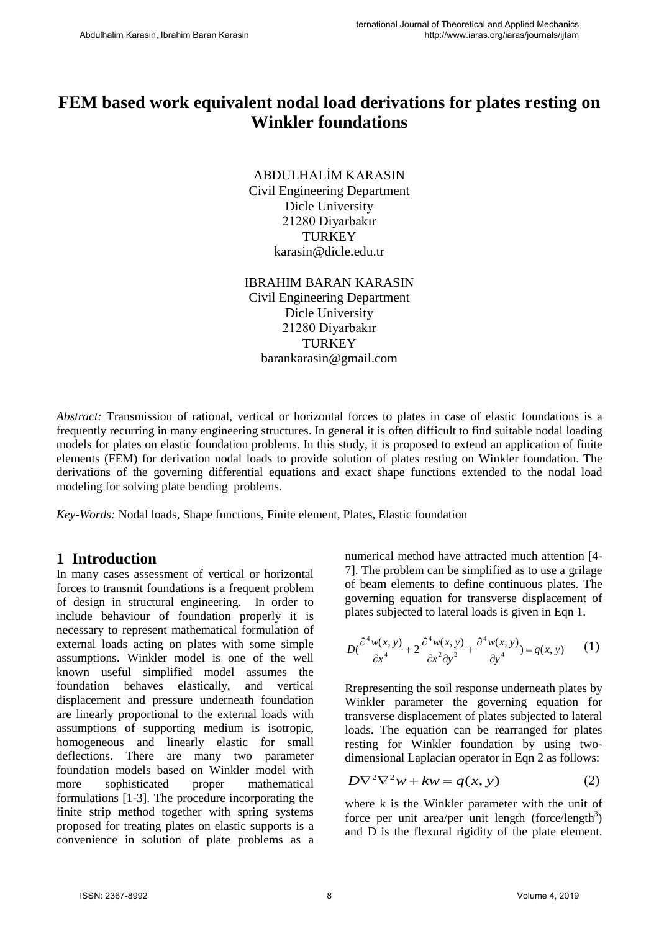# **FEM based work equivalent nodal load derivations for plates resting on Winkler foundations**

ABDULHALİM KARASIN Civil Engineering Department Dicle University 21280 Diyarbakır **TURKEY** karasin@dicle.edu.tr

IBRAHIM BARAN KARASIN Civil Engineering Department Dicle University 21280 Diyarbakır **TURKEY** barankarasin@gmail.com

*Abstract:* Transmission of rational, vertical or horizontal forces to plates in case of elastic foundations is a frequently recurring in many engineering structures. In general it is often difficult to find suitable nodal loading models for plates on elastic foundation problems. In this study, it is proposed to extend an application of finite elements (FEM) for derivation nodal loads to provide solution of plates resting on Winkler foundation. The derivations of the governing differential equations and exact shape functions extended to the nodal load modeling for solving plate bending problems.

*Key-Words:* Nodal loads, Shape functions, Finite element, Plates, Elastic foundation

#### **1 Introduction**

In many cases assessment of vertical or horizontal forces to transmit foundations is a frequent problem of design in structural engineering. In order to include behaviour of foundation properly it is necessary to represent mathematical formulation of external loads acting on plates with some simple assumptions. Winkler model is one of the well known useful simplified model assumes the foundation behaves elastically, and vertical displacement and pressure underneath foundation are linearly proportional to the external loads with assumptions of supporting medium is isotropic, homogeneous and linearly elastic for small deflections. There are many two parameter foundation models based on Winkler model with more sophisticated proper mathematical formulations [1-3]. The procedure incorporating the finite strip method together with spring systems proposed for treating plates on elastic supports is a convenience in solution of plate problems as a numerical method have attracted much attention [4- 7]. The problem can be simplified as to use a grilage of beam elements to define continuous plates. The governing equation for transverse displacement of plates subjected to lateral loads is given in Eqn 1.

$$
D\left(\frac{\partial^4 w(x, y)}{\partial x^4} + 2\frac{\partial^4 w(x, y)}{\partial x^2 \partial y^2} + \frac{\partial^4 w(x, y)}{\partial y^4}\right) = q(x, y) \tag{1}
$$

Rrepresenting the soil response underneath plates by Winkler parameter the governing equation for transverse displacement of plates subjected to lateral loads. The equation can be rearranged for plates resting for Winkler foundation by using twodimensional Laplacian operator in Eqn 2 as follows:

$$
D\nabla^2 \nabla^2 w + kw = q(x, y)
$$
 (2)

where k is the Winkler parameter with the unit of force per unit area/per unit length (force/length<sup>3</sup>) and D is the flexural rigidity of the plate element.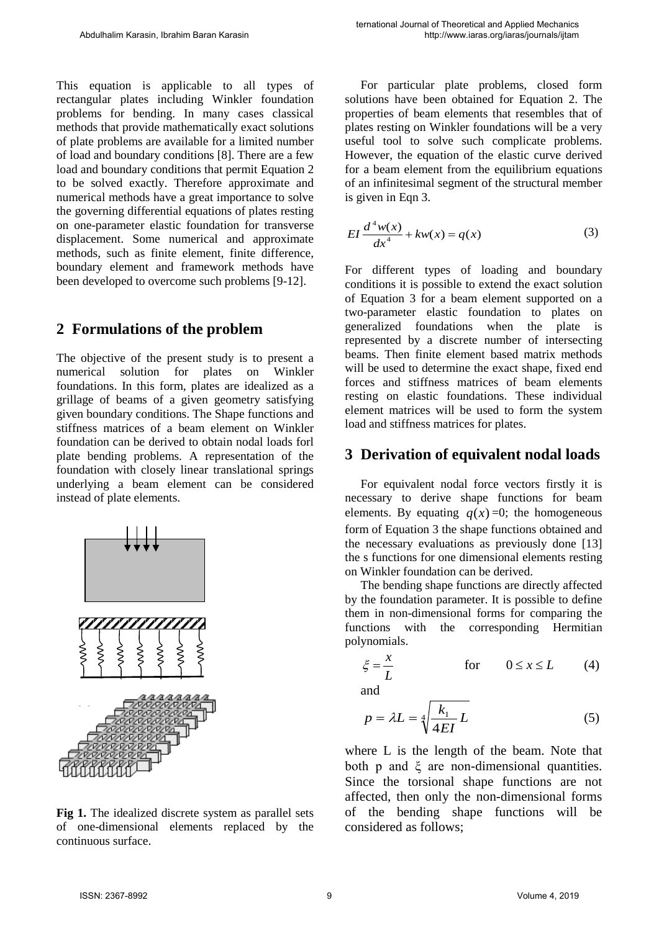This equation is applicable to all types of rectangular plates including Winkler foundation problems for bending. In many cases classical methods that provide mathematically exact solutions of plate problems are available for a limited number of load and boundary conditions [8]. There are a few load and boundary conditions that permit Equation 2 to be solved exactly. Therefore approximate and numerical methods have a great importance to solve the governing differential equations of plates resting on one-parameter elastic foundation for transverse displacement. Some numerical and approximate methods, such as finite element, finite difference, boundary element and framework methods have been developed to overcome such problems [9-12].

### **2 Formulations of the problem**

The objective of the present study is to present a numerical solution for plates on Winkler foundations. In this form, plates are idealized as a grillage of beams of a given geometry satisfying given boundary conditions. The Shape functions and stiffness matrices of a beam element on Winkler foundation can be derived to obtain nodal loads forl plate bending problems. A representation of the foundation with closely linear translational springs underlying a beam element can be considered instead of plate elements.



**Fig 1.** The idealized discrete system as parallel sets of one-dimensional elements replaced by the continuous surface.

For particular plate problems, closed form solutions have been obtained for Equation 2. The properties of beam elements that resembles that of plates resting on Winkler foundations will be a very useful tool to solve such complicate problems. However, the equation of the elastic curve derived for a beam element from the equilibrium equations of an infinitesimal segment of the structural member is given in Eqn 3.

$$
EI\frac{d^4w(x)}{dx^4} + kw(x) = q(x)
$$
 (3)

For different types of loading and boundary conditions it is possible to extend the exact solution of Equation 3 for a beam element supported on a two-parameter elastic foundation to plates on generalized foundations when the plate is represented by a discrete number of intersecting beams. Then finite element based matrix methods will be used to determine the exact shape, fixed end forces and stiffness matrices of beam elements resting on elastic foundations. These individual element matrices will be used to form the system load and stiffness matrices for plates.

#### **3 Derivation of equivalent nodal loads**

For equivalent nodal force vectors firstly it is necessary to derive shape functions for beam elements. By equating  $q(x) = 0$ ; the homogeneous form of Equation 3 the shape functions obtained and the necessary evaluations as previously done [13] the s functions for one dimensional elements resting on Winkler foundation can be derived.

The bending shape functions are directly affected by the foundation parameter. It is possible to define them in non-dimensional forms for comparing the functions with the corresponding Hermitian polynomials.

$$
\xi = \frac{x}{L} \qquad \text{for} \qquad 0 \le x \le L \qquad (4)
$$

and

$$
p = \lambda L = \sqrt[4]{\frac{k_1}{4EI}} L \tag{5}
$$

where L is the length of the beam. Note that both p and  $\xi$  are non-dimensional quantities. Since the torsional shape functions are not affected, then only the non-dimensional forms of the bending shape functions will be considered as follows;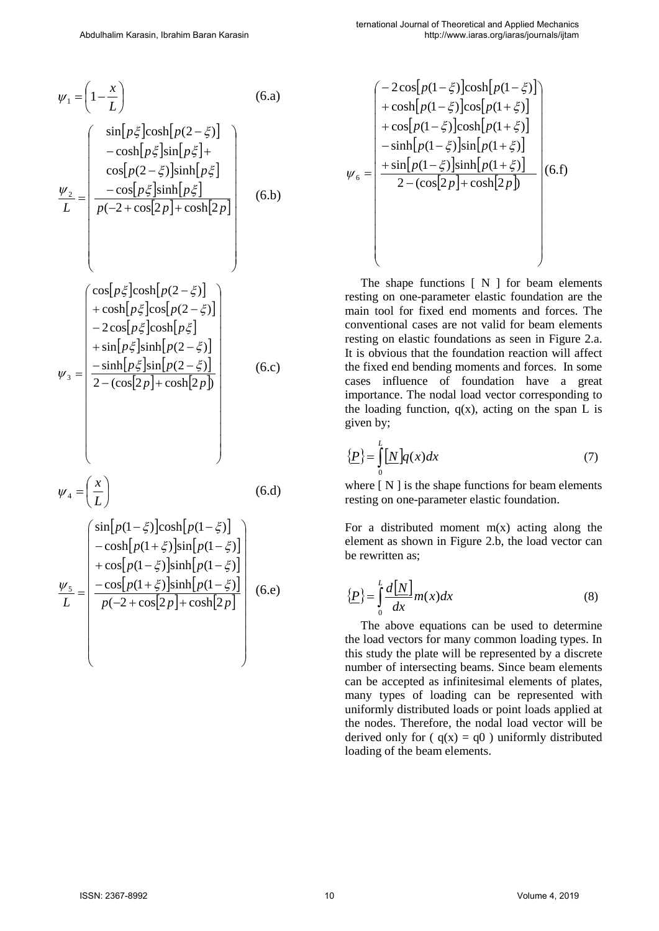$$
\psi_1 = \left(1 - \frac{x}{L}\right) \tag{6. a}
$$

$$
\frac{\psi_2}{L} = \begin{pmatrix} \sin[p\xi]\cosh[p(2-\xi)] \\ -\cosh[p\xi]\sin[p\xi] + \\ \cos[p(2-\xi)]\sinh[p\xi] \\ \frac{-\cos[p\xi]\sinh[p\xi]}{p(-2+\cos[2p]+\cosh[2p]} \end{pmatrix}
$$
(6.b)

 $\setminus$ 

J

$$
\psi_3 = \begin{pmatrix}\n\cos[p\xi]\cosh[p(2-\xi)] \\
+\cosh[p\xi]\cos[p(2-\xi)] \\
-2\cos[p\xi]\cosh[p\xi] \\
+\sin[p\xi]\sinh[p(2-\xi)] \\
\frac{-\sinh[p\xi]\sin[p(2-\xi)]}{2-(\cos[2p]+\cosh[2p])}\n\end{pmatrix}
$$
(6.c)

$$
\psi_4 = \left(\frac{x}{L}\right) \tag{6. d}
$$

$$
\frac{\psi_5}{L} = \begin{pmatrix}\n\sin[p(1-\xi)]\cosh[p(1-\xi)] \\
-\cosh[p(1+\xi)]\sin[p(1-\xi)] \\
+\cos[p(1-\xi)]\sinh[p(1-\xi)] \\
-\cos[p(1+\xi)]\sinh[p(1-\xi)] \\
p(-2+\cos[2p]+\cosh[2p]\n\end{pmatrix}
$$
(6.e)

$$
\psi_{6} = \begin{pmatrix}\n-2\cos[p(1-\xi)]\cosh[p(1-\xi)] \\
+\cosh[p(1-\xi)]\cos[p(1+\xi)] \\
+\cos[p(1-\xi)]\cosh[p(1+\xi)] \\
-\sinh[p(1-\xi)]\sin[p(1+\xi)] \\
+\sin[p(1-\xi)]\sin[p(1+\xi)] \\
2-(\cos[2p]+\cosh[2p])\n\end{pmatrix} (6.f)
$$

The shape functions  $[N]$  for beam elements resting on one-parameter elastic foundation are the main tool for fixed end moments and forces. The conventional cases are not valid for beam elements resting on elastic foundations as seen in Figure 2.a. It is obvious that the foundation reaction will affect the fixed end bending moments and forces. In some cases influence of foundation have a great importance. The nodal load vector corresponding to the loading function,  $q(x)$ , acting on the span L is given by;

$$
\{\underline{P}\} = \int_{0}^{L} [\underline{N}]\underline{q}(x)dx\tag{7}
$$

where  $[N]$  is the shape functions for beam elements resting on one-parameter elastic foundation.

For a distributed moment  $m(x)$  acting along the element as shown in Figure 2.b, the load vector can be rewritten as;

$$
\left\{\underline{P}\right\} = \int_{0}^{L} \frac{d\left[\underline{N}\right]}{dx} m(x) dx \tag{8}
$$

The above equations can be used to determine the load vectors for many common loading types. In this study the plate will be represented by a discrete number of intersecting beams. Since beam elements can be accepted as infinitesimal elements of plates, many types of loading can be represented with uniformly distributed loads or point loads applied at the nodes. Therefore, the nodal load vector will be derived only for ( $q(x) = q0$ ) uniformly distributed loading of the beam elements.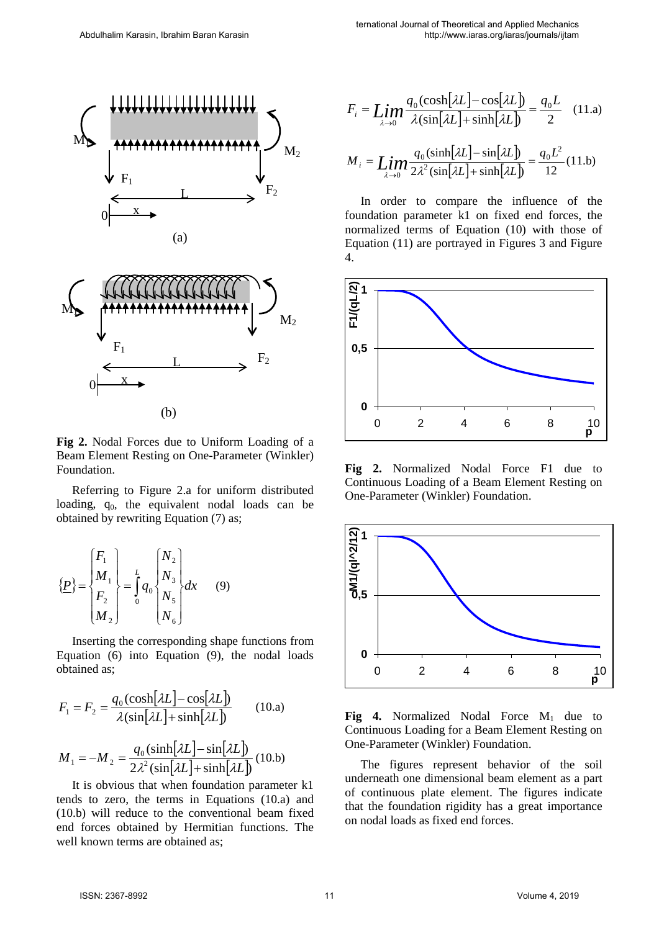

(a)



**Fig 2.** Nodal Forces due to Uniform Loading of a Beam Element Resting on One-Parameter (Winkler) Foundation.

Referring to Figure 2.a for uniform distributed loading,  $q_0$ , the equivalent nodal loads can be obtained by rewriting Equation (7) as;

$$
\{\underline{P}\} = \begin{cases} F_1 \\ M_1 \\ F_2 \\ M_2 \end{cases} = \frac{L}{9} q_0 \begin{cases} N_2 \\ N_3 \\ N_5 \\ N_6 \end{cases} dx \qquad (9)
$$

Inserting the corresponding shape functions from Equation (6) into Equation (9), the nodal loads obtained as;

$$
F_1 = F_2 = \frac{q_0(\cosh[\lambda L] - \cos[\lambda L])}{\lambda(\sin[\lambda L] + \sinh[\lambda L])}
$$
(10.a)  

$$
M_1 = -M_2 = \frac{q_0(\sinh[\lambda L] - \sin[\lambda L])}{2\lambda^2(\sin[\lambda L] + \sinh[\lambda L])}
$$
(10.b)

It is obvious that when foundation parameter k1 tends to zero, the terms in Equations (10.a) and (10.b) will reduce to the conventional beam fixed end forces obtained by Hermitian functions. The well known terms are obtained as:

$$
F_i = \mathop{Lim}\limits_{\lambda \to 0} \frac{q_0(\cosh[\lambda L] - \cos[\lambda L])}{\lambda(\sin[\lambda L] + \sinh[\lambda L])} = \frac{q_0 L}{2} \quad (11. a)
$$

$$
M_{i} = \mathop{Lim}\limits_{\lambda \to 0} \frac{q_{0}(\sinh[\lambda L] - \sin[\lambda L])}{2\lambda^{2}(\sin[\lambda L] + \sinh[\lambda L])} = \frac{q_{0}L^{2}}{12}(11.5)
$$

In order to compare the influence of the foundation parameter k1 on fixed end forces, the normalized terms of Equation (10) with those of Equation (11) are portrayed in Figures 3 and Figure 4.



**Fig 2.** Normalized Nodal Force F1 due to Continuous Loading of a Beam Element Resting on One-Parameter (Winkler) Foundation.



Fig 4. Normalized Nodal Force M<sub>1</sub> due to Continuous Loading for a Beam Element Resting on One-Parameter (Winkler) Foundation.

The figures represent behavior of the soil underneath one dimensional beam element as a part of continuous plate element. The figures indicate that the foundation rigidity has a great importance on nodal loads as fixed end forces.